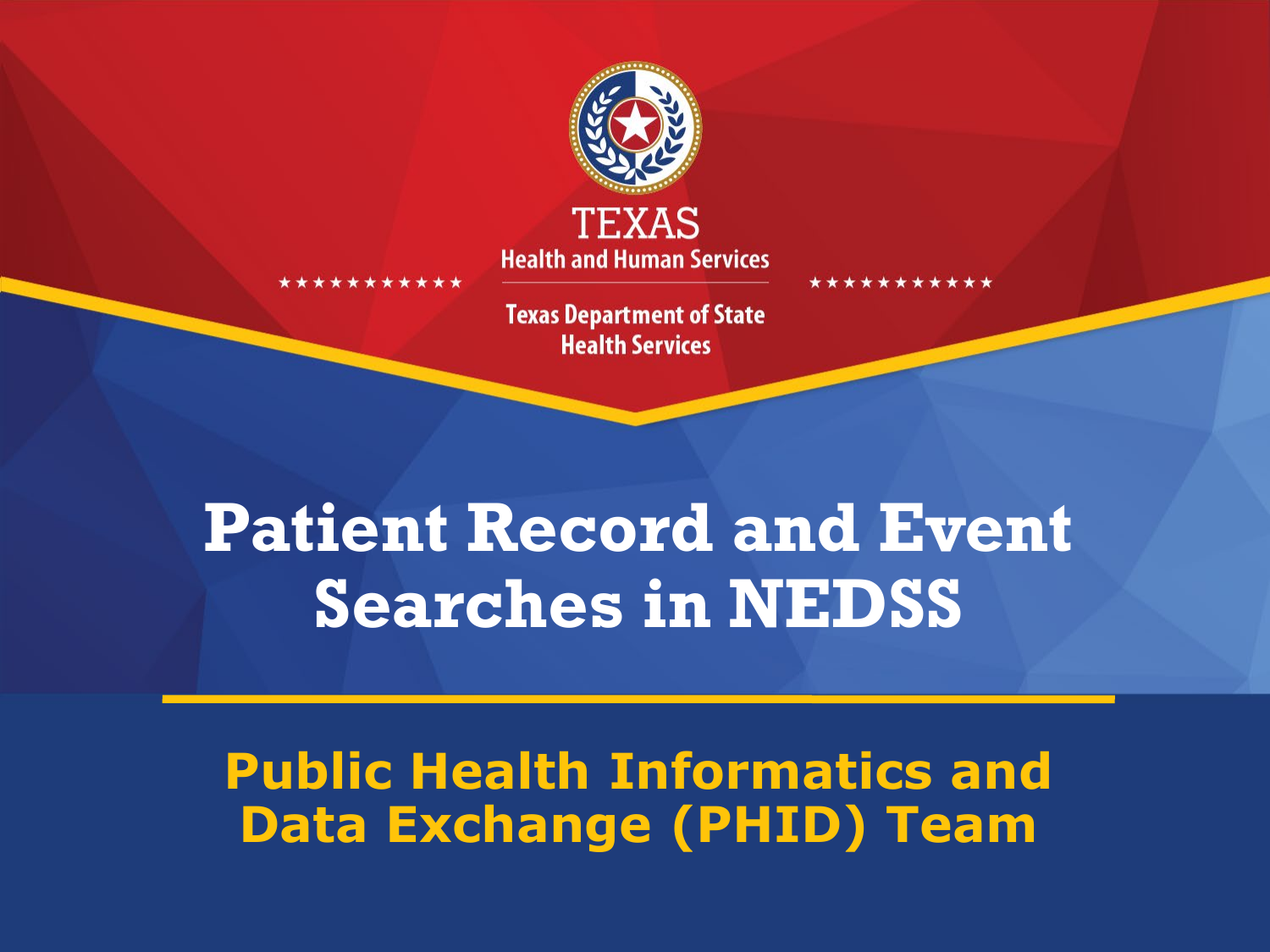

**Health and Human Services** 

**Texas Department of State Health Services** 

#### **Patient Record and Event Searches in NEDSS**

**Public Health Informatics and Data Exchange (PHID) Team**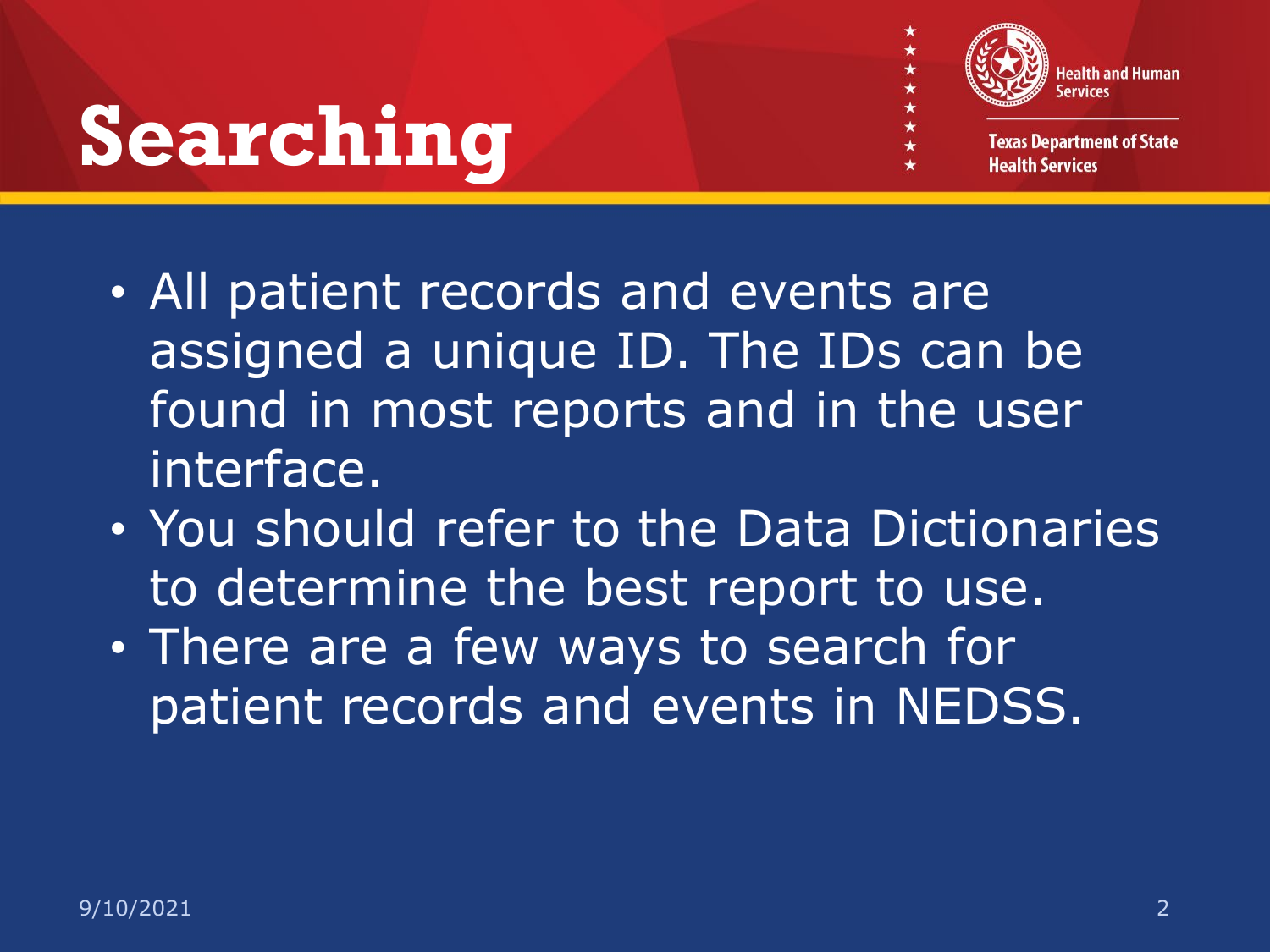# **Searching**



★★

**Texas Department of State Health Services** 

- All patient records and events are assigned a unique ID. The IDs can be found in most reports and in the user interface.
- You should refer to the Data Dictionaries to determine the best report to use.
- There are a few ways to search for patient records and events in NEDSS.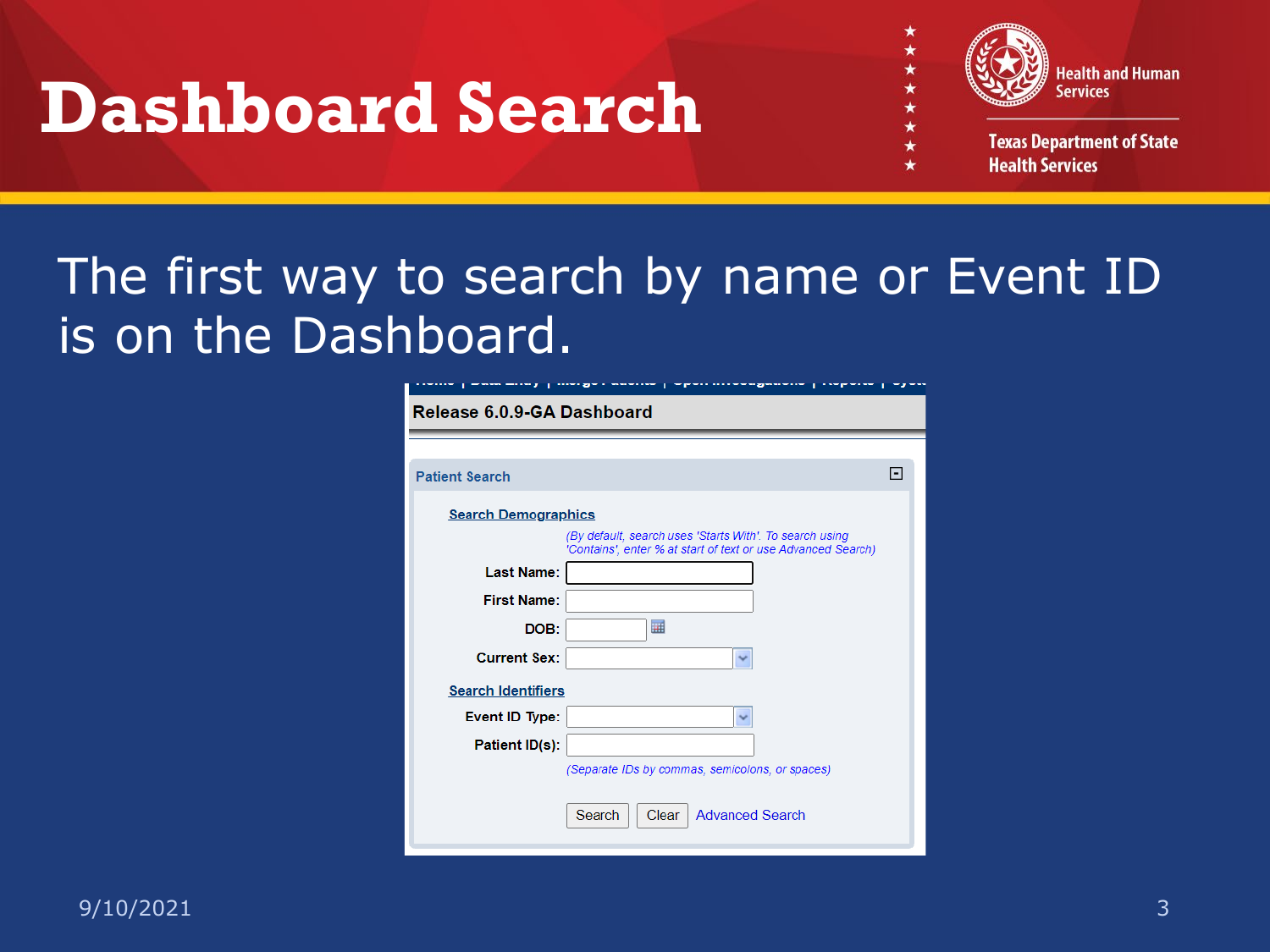#### **Dashboard Search**



**Texas Department of State Health Services** 

#### The first way to search by name or Event ID is on the Dashboard.

| --- ---- ,<br>Release 6.0.9-GA Dashboard | start get a more can<br>--------- <b>---------</b><br>a sa provincia d<br>٠                                             | $\overline{\phantom{m}}$ |
|------------------------------------------|-------------------------------------------------------------------------------------------------------------------------|--------------------------|
|                                          |                                                                                                                         |                          |
| <b>Patient Search</b>                    |                                                                                                                         | E                        |
| <b>Search Demographics</b>               |                                                                                                                         |                          |
|                                          | (By default, search uses 'Starts With'. To search using<br>'Contains', enter % at start of text or use Advanced Search) |                          |
| <b>Last Name:</b>                        |                                                                                                                         |                          |
| <b>First Name:</b>                       |                                                                                                                         |                          |
| DOB:                                     | 扁                                                                                                                       |                          |
| <b>Current Sex:</b>                      |                                                                                                                         |                          |
| <b>Search Identifiers</b>                |                                                                                                                         |                          |
| Event ID Type:                           | v                                                                                                                       |                          |
| Patient ID(s):                           |                                                                                                                         |                          |
|                                          | (Separate IDs by commas, semicolons, or spaces)                                                                         |                          |
|                                          | Search<br>Clear<br><b>Advanced Search</b>                                                                               |                          |

 $9/10/2021$   $3$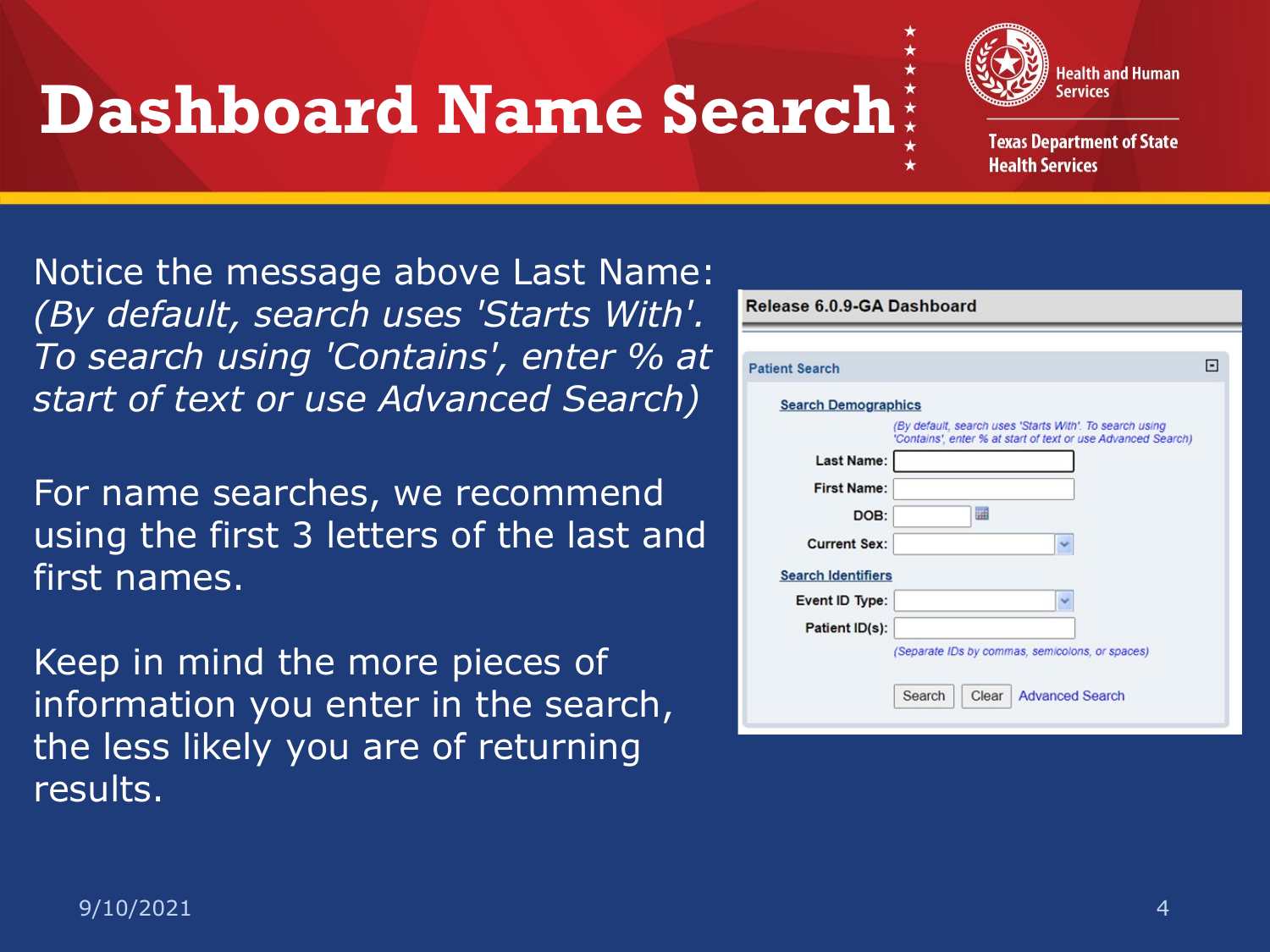#### **Dashboard Name Search**



**Texas Department of State Health Services** 

Notice the message above Last Name: *(By default, search uses 'Starts With'. To search using 'Contains', enter % at start of text or use Advanced Search)*

For name searches, we recommend using the first 3 letters of the last and first names.

Keep in mind the more pieces of information you enter in the search, the less likely you are of returning results.

| Release 6.0.9-GA Dashboard |                                                                                                                         |   |  |  |
|----------------------------|-------------------------------------------------------------------------------------------------------------------------|---|--|--|
|                            |                                                                                                                         |   |  |  |
| <b>Patient Search</b>      |                                                                                                                         | н |  |  |
| <b>Search Demographics</b> |                                                                                                                         |   |  |  |
|                            | (By default, search uses 'Starts With'. To search using<br>'Contains', enter % at start of text or use Advanced Search) |   |  |  |
| <b>Last Name:</b>          |                                                                                                                         |   |  |  |
| <b>First Name:</b>         |                                                                                                                         |   |  |  |
| DOB:                       | anti                                                                                                                    |   |  |  |
| <b>Current Sex:</b>        | $\checkmark$                                                                                                            |   |  |  |
| <b>Search Identifiers</b>  |                                                                                                                         |   |  |  |
| Event ID Type:             | $\checkmark$                                                                                                            |   |  |  |
| Patient ID(s):             |                                                                                                                         |   |  |  |
|                            | (Separate IDs by commas, semicolons, or spaces)                                                                         |   |  |  |
|                            | Search<br>Clear<br><b>Advanced Search</b>                                                                               |   |  |  |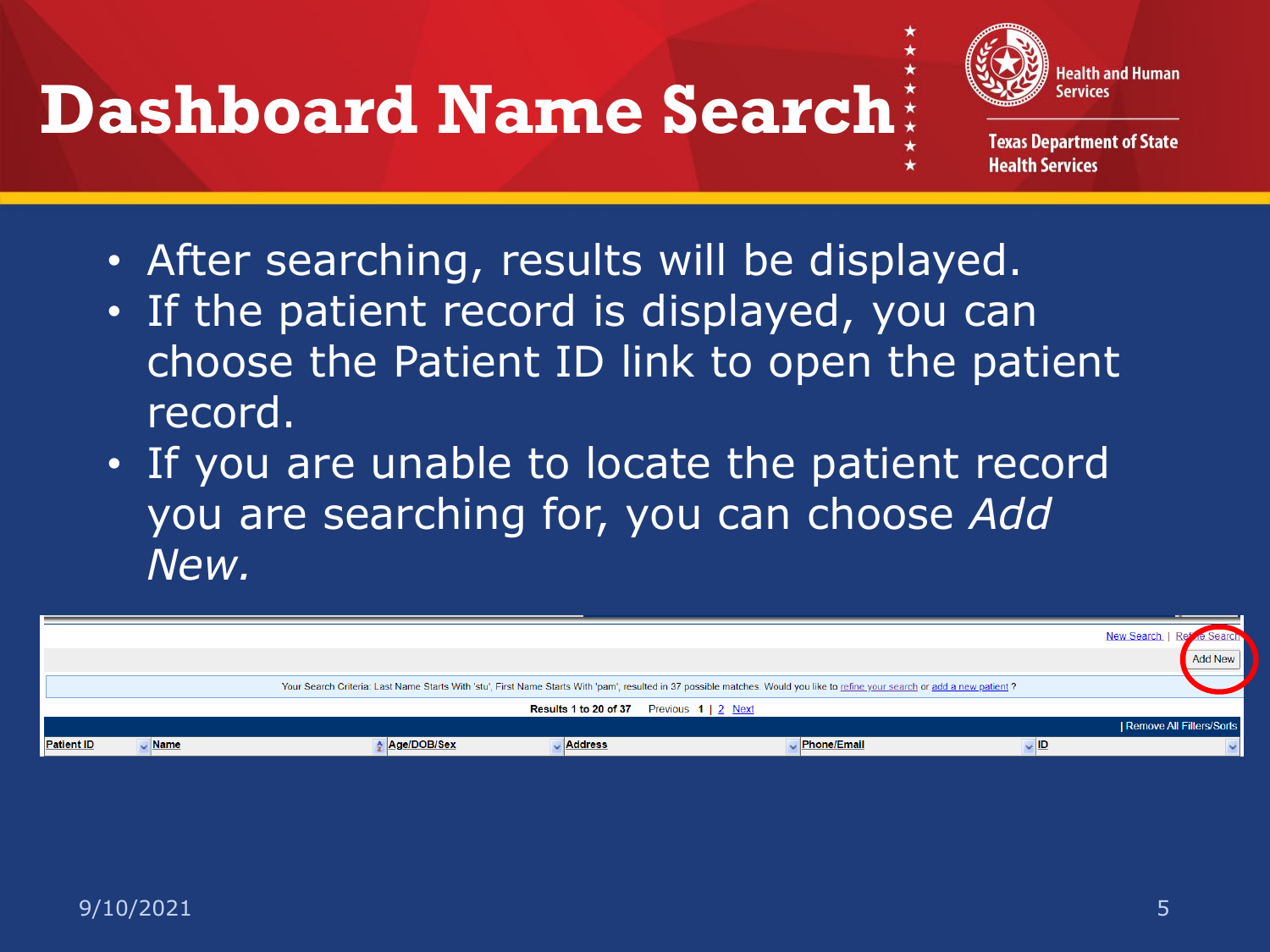## **Dashboard Name Search**



**Texas Department of State Health Services** 

- After searching, results will be displayed.
- If the patient record is displayed, you can choose the Patient ID link to open the patient record.
- If you are unable to locate the patient record you are searching for, you can choose *Add New.*

|                   |             |             |                                                       |                                                                                                                                                                               |     | New Search               |
|-------------------|-------------|-------------|-------------------------------------------------------|-------------------------------------------------------------------------------------------------------------------------------------------------------------------------------|-----|--------------------------|
|                   |             |             |                                                       |                                                                                                                                                                               |     | Add New                  |
|                   |             |             |                                                       | Your Search Criteria: Last Name Starts With 'stu', First Name Starts With 'pam', resulted in 37 possible matches. Would you like to refine your search or add a new patient ? |     |                          |
|                   |             |             | <b>Results 1 to 20 of 37</b> Previous $1 \mid 2$ Next |                                                                                                                                                                               |     |                          |
|                   |             |             |                                                       |                                                                                                                                                                               |     | Remove All Filters/Sorts |
| <b>Patient ID</b> | <b>Name</b> | Age/DOB/Sex | <b>Address</b>                                        | <b>Phone/Email</b>                                                                                                                                                            | HD. |                          |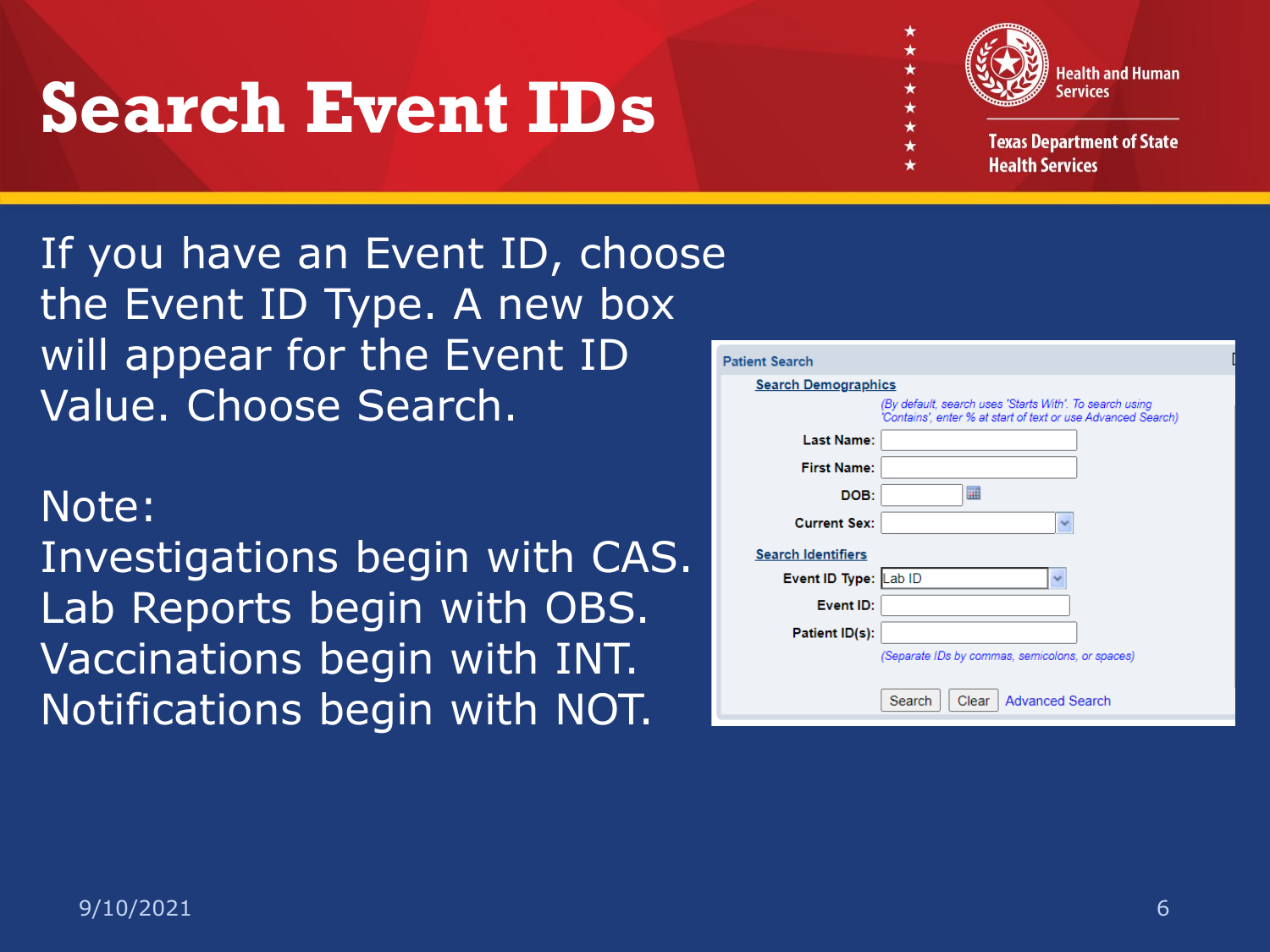## **Search Event IDs**



**Texas Department of State Health Services** 

If you have an Event ID, choose the Event ID Type. A new box will appear for the Event ID Value. Choose Search.

#### Note:

Investigations begin with CAS. Lab Reports begin with OBS. Vaccinations begin with INT. Notifications begin with NOT.

| <b>Patient Search</b>      |                                                                                                                         |
|----------------------------|-------------------------------------------------------------------------------------------------------------------------|
| <b>Search Demographics</b> |                                                                                                                         |
|                            | (By default, search uses 'Starts With'. To search using<br>'Contains', enter % at start of text or use Advanced Search) |
| <b>Last Name:</b>          |                                                                                                                         |
| <b>First Name:</b>         |                                                                                                                         |
| DOB:                       | 肅                                                                                                                       |
| <b>Current Sex:</b>        | $\checkmark$                                                                                                            |
| <b>Search Identifiers</b>  |                                                                                                                         |
| Event ID Type:             | Lab ID                                                                                                                  |
| Event ID:                  |                                                                                                                         |
| Patient ID(s):             |                                                                                                                         |
|                            | (Separate IDs by commas, semicolons, or spaces)                                                                         |
|                            | <b>Advanced Search</b><br>Search<br>Clear                                                                               |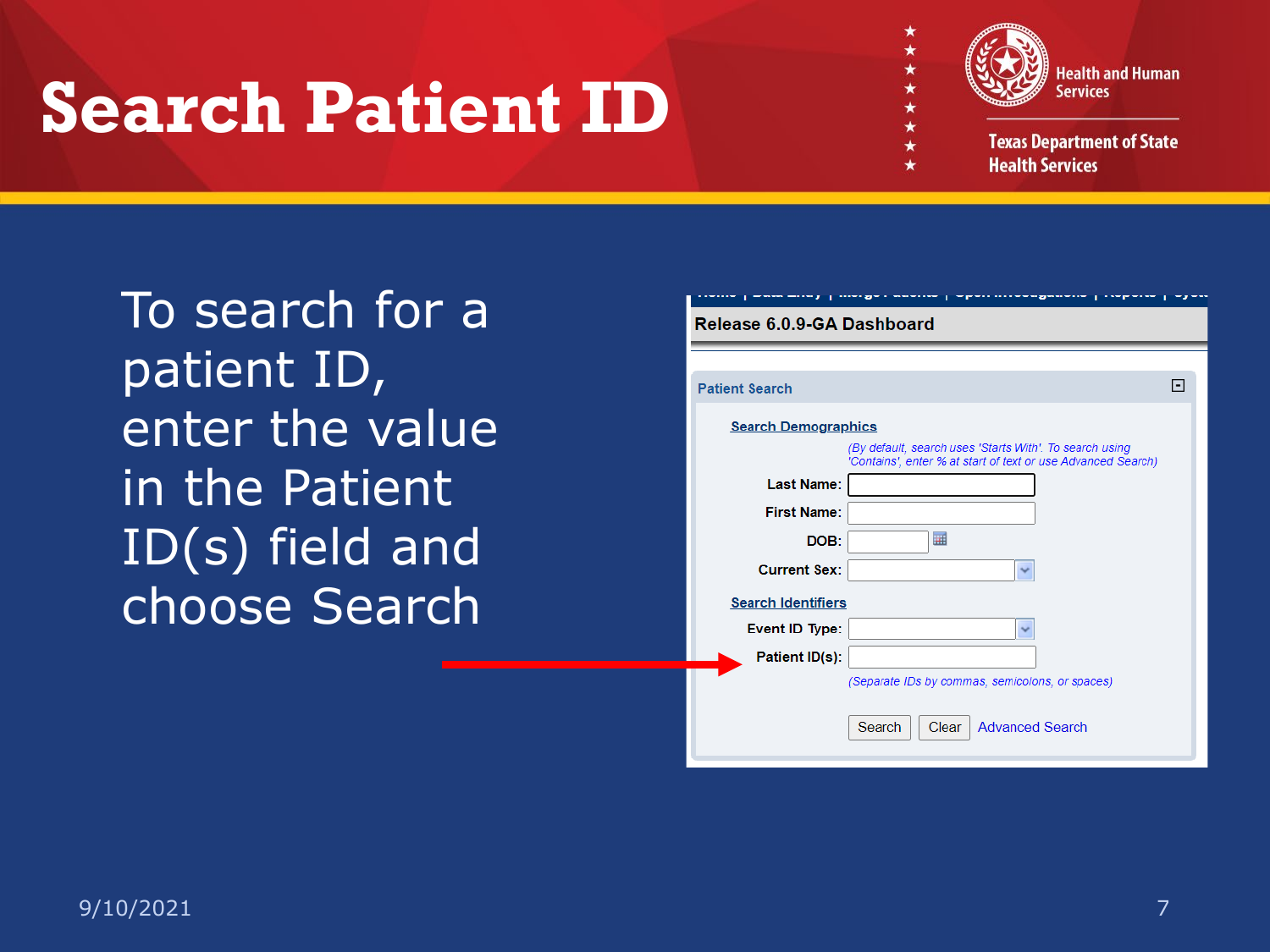## **Search Patient ID**



**Texas Department of State Health Services** 

To search for a patient ID, enter the value in the Patient ID(s) field and choose Search

| $-111$                     | .,<br>$-$<br>a matematica de la contrata della contrata della contrata della contrata della contrata della contrata della contrata della contrata della contrata della contrata della contrata della contrata della contrata della contrata<br>---- 1 - 7 |   |  |
|----------------------------|-----------------------------------------------------------------------------------------------------------------------------------------------------------------------------------------------------------------------------------------------------------|---|--|
| Release 6.0.9-GA Dashboard |                                                                                                                                                                                                                                                           |   |  |
|                            |                                                                                                                                                                                                                                                           |   |  |
| <b>Patient Search</b>      |                                                                                                                                                                                                                                                           | E |  |
| <b>Search Demographics</b> |                                                                                                                                                                                                                                                           |   |  |
|                            | (By default, search uses 'Starts With'. To search using<br>'Contains', enter % at start of text or use Advanced Search)                                                                                                                                   |   |  |
| <b>Last Name:</b>          |                                                                                                                                                                                                                                                           |   |  |
| <b>First Name:</b>         |                                                                                                                                                                                                                                                           |   |  |
| DOB:                       | 圃                                                                                                                                                                                                                                                         |   |  |
| <b>Current Sex:</b>        | V                                                                                                                                                                                                                                                         |   |  |
| <b>Search Identifiers</b>  |                                                                                                                                                                                                                                                           |   |  |
| Event ID Type:             | V                                                                                                                                                                                                                                                         |   |  |
| Patient ID(s):             |                                                                                                                                                                                                                                                           |   |  |
|                            | (Separate IDs by commas, semicolons, or spaces)                                                                                                                                                                                                           |   |  |
|                            | Search<br>Clear<br><b>Advanced Search</b>                                                                                                                                                                                                                 |   |  |
|                            |                                                                                                                                                                                                                                                           |   |  |